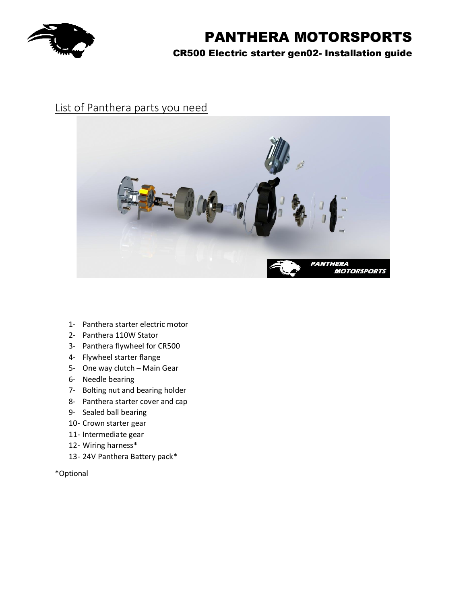

## List of Panthera parts you need



- 1- Panthera starter electric motor
- 2- Panthera 110W Stator
- 3- Panthera flywheel for CR500
- 4- Flywheel starter flange
- 5- One way clutch Main Gear
- 6- Needle bearing
- 7- Bolting nut and bearing holder
- 8- Panthera starter cover and cap
- 9- Sealed ball bearing
- 10- Crown starter gear
- 11- Intermediate gear
- 12- Wiring harness\*
- 13- 24V Panthera Battery pack\*

#### \*Optional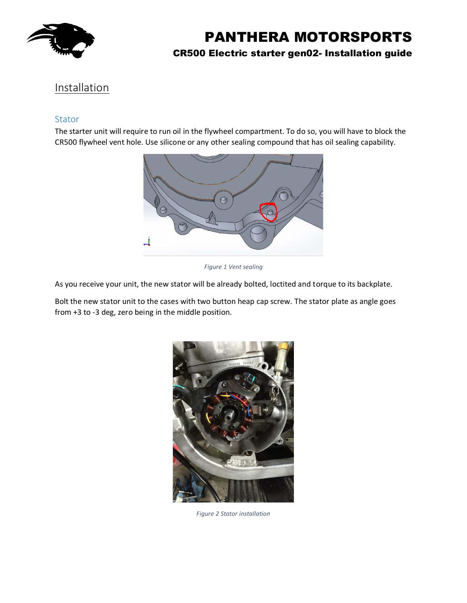

## CR500 Electric starter gen02- Installation guide

## Installation

#### Stator

The starter unit will require to run oil in the flywheel compartment. To do so, you will have to block the CR500 flywheel vent hole. Use silicone or any other sealing compound that has oil sealing capability.



*Figure 1 Vent sealing*

As you receive your unit, the new stator will be already bolted, loctited and torque to its backplate.

Bolt the new stator unit to the cases with two button heap cap screw. The stator plate as angle goes from +3 to -3 deg, zero being in the middle position.



*Figure 2 Stator installation*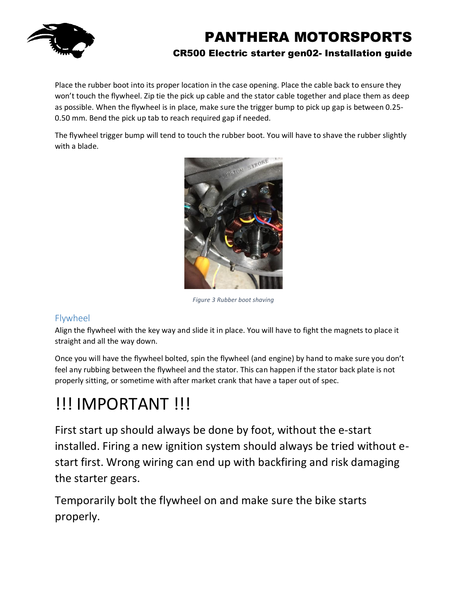

Place the rubber boot into its proper location in the case opening. Place the cable back to ensure they won't touch the flywheel. Zip tie the pick up cable and the stator cable together and place them as deep as possible. When the flywheel is in place, make sure the trigger bump to pick up gap is between 0.25- 0.50 mm. Bend the pick up tab to reach required gap if needed.

The flywheel trigger bump will tend to touch the rubber boot. You will have to shave the rubber slightly with a blade.



*Figure 3 Rubber boot shaving*

## Flywheel

Align the flywheel with the key way and slide it in place. You will have to fight the magnets to place it straight and all the way down.

Once you will have the flywheel bolted, spin the flywheel (and engine) by hand to make sure you don't feel any rubbing between the flywheel and the stator. This can happen if the stator back plate is not properly sitting, or sometime with after market crank that have a taper out of spec.

# !!! IMPORTANT !!!

First start up should always be done by foot, without the e-start installed. Firing a new ignition system should always be tried without estart first. Wrong wiring can end up with backfiring and risk damaging the starter gears.

Temporarily bolt the flywheel on and make sure the bike starts properly.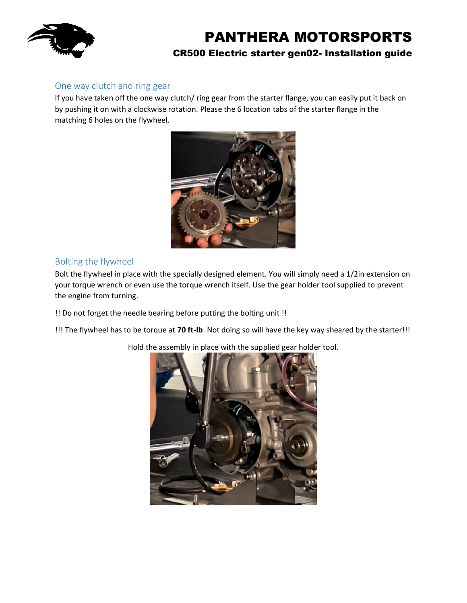

### One way clutch and ring gear

If you have taken off the one way clutch/ ring gear from the starter flange, you can easily put it back on by pushing it on with a clockwise rotation. Please the 6 location tabs of the starter flange in the matching 6 holes on the flywheel.



### Bolting the flywheel

Bolt the flywheel in place with the specially designed element. You will simply need a 1/2in extension on your torque wrench or even use the torque wrench itself. Use the gear holder tool supplied to prevent the engine from turning.

!! Do not forget the needle bearing before putting the bolting unit !!

!!! The flywheel has to be torque at **70 ft-lb**. Not doing so will have the key way sheared by the starter!!!

Hold the assembly in place with the supplied gear holder tool.

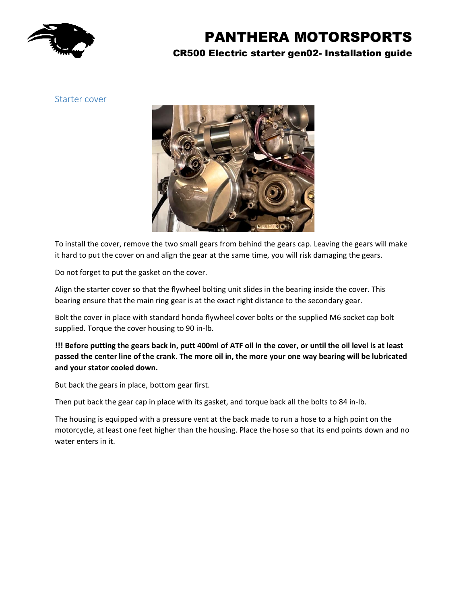

## CR500 Electric starter gen02- Installation guide

Starter cover



To install the cover, remove the two small gears from behind the gears cap. Leaving the gears will make it hard to put the cover on and align the gear at the same time, you will risk damaging the gears.

Do not forget to put the gasket on the cover.

Align the starter cover so that the flywheel bolting unit slides in the bearing inside the cover. This bearing ensure that the main ring gear is at the exact right distance to the secondary gear.

Bolt the cover in place with standard honda flywheel cover bolts or the supplied M6 socket cap bolt supplied. Torque the cover housing to 90 in-lb.

#### **!!! Before putting the gears back in, putt 400ml of ATF oil in the cover, or until the oil level is at least passed the center line of the crank. The more oil in, the more your one way bearing will be lubricated and your stator cooled down.**

But back the gears in place, bottom gear first.

Then put back the gear cap in place with its gasket, and torque back all the bolts to 84 in-lb.

The housing is equipped with a pressure vent at the back made to run a hose to a high point on the motorcycle, at least one feet higher than the housing. Place the hose so that its end points down and no water enters in it.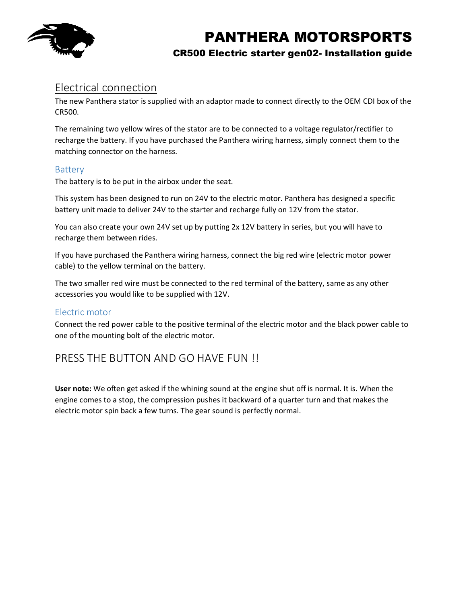

### CR500 Electric starter gen02- Installation guide

## Electrical connection

The new Panthera stator is supplied with an adaptor made to connect directly to the OEM CDI box of the CR500.

The remaining two yellow wires of the stator are to be connected to a voltage regulator/rectifier to recharge the battery. If you have purchased the Panthera wiring harness, simply connect them to the matching connector on the harness.

#### Battery

The battery is to be put in the airbox under the seat.

This system has been designed to run on 24V to the electric motor. Panthera has designed a specific battery unit made to deliver 24V to the starter and recharge fully on 12V from the stator.

You can also create your own 24V set up by putting 2x 12V battery in series, but you will have to recharge them between rides.

If you have purchased the Panthera wiring harness, connect the big red wire (electric motor power cable) to the yellow terminal on the battery.

The two smaller red wire must be connected to the red terminal of the battery, same as any other accessories you would like to be supplied with 12V.

### Electric motor

Connect the red power cable to the positive terminal of the electric motor and the black power cable to one of the mounting bolt of the electric motor.

## PRESS THE BUTTON AND GO HAVE FUN !!

**User note:** We often get asked if the whining sound at the engine shut off is normal. It is. When the engine comes to a stop, the compression pushes it backward of a quarter turn and that makes the electric motor spin back a few turns. The gear sound is perfectly normal.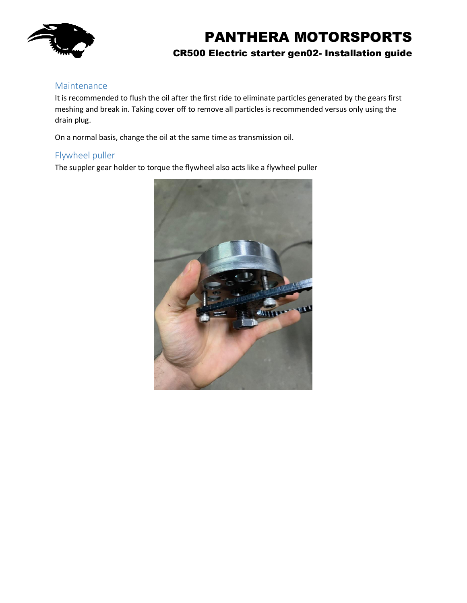

#### Maintenance

It is recommended to flush the oil after the first ride to eliminate particles generated by the gears first meshing and break in. Taking cover off to remove all particles is recommended versus only using the drain plug.

On a normal basis, change the oil at the same time as transmission oil.

#### Flywheel puller

The suppler gear holder to torque the flywheel also acts like a flywheel puller

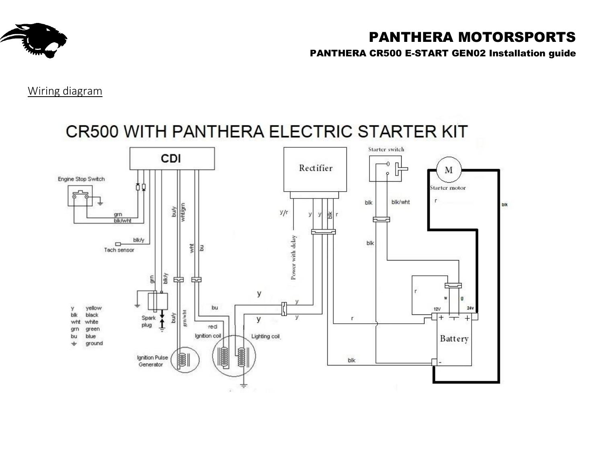

PANTHERA CR500 E-START GEN02 Installation guide

Wiring diagram

# CR500 WITH PANTHERA ELECTRIC STARTER KIT

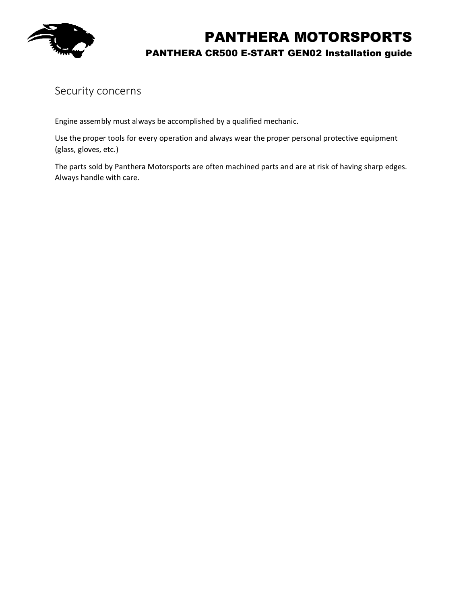

# PANTHERA MOTORSPORTS PANTHERA CR500 E-START GEN02 Installation guide

## Security concerns

Engine assembly must always be accomplished by a qualified mechanic.

Use the proper tools for every operation and always wear the proper personal protective equipment (glass, gloves, etc.)

The parts sold by Panthera Motorsports are often machined parts and are at risk of having sharp edges. Always handle with care.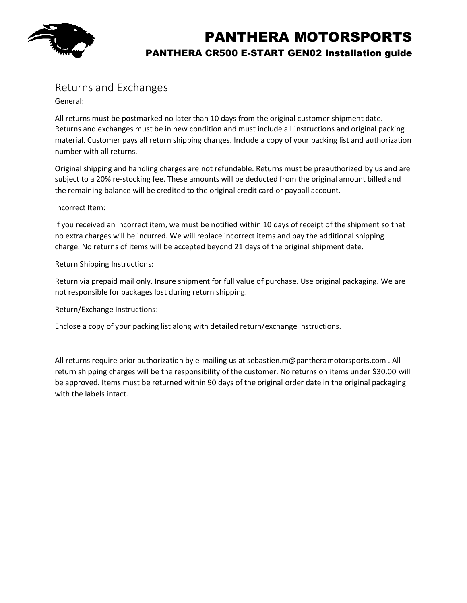

# PANTHERA MOTORSPORTS PANTHERA CR500 E-START GEN02 Installation guide

## Returns and Exchanges

General:

All returns must be postmarked no later than 10 days from the original customer shipment date. Returns and exchanges must be in new condition and must include all instructions and original packing material. Customer pays all return shipping charges. Include a copy of your packing list and authorization number with all returns.

Original shipping and handling charges are not refundable. Returns must be preauthorized by us and are subject to a 20% re-stocking fee. These amounts will be deducted from the original amount billed and the remaining balance will be credited to the original credit card or paypall account.

#### Incorrect Item:

If you received an incorrect item, we must be notified within 10 days of receipt of the shipment so that no extra charges will be incurred. We will replace incorrect items and pay the additional shipping charge. No returns of items will be accepted beyond 21 days of the original shipment date.

Return Shipping Instructions:

Return via prepaid mail only. Insure shipment for full value of purchase. Use original packaging. We are not responsible for packages lost during return shipping.

Return/Exchange Instructions:

Enclose a copy of your packing list along with detailed return/exchange instructions.

All returns require prior authorization by e-mailing us at sebastien.m@pantheramotorsports.com . All return shipping charges will be the responsibility of the customer. No returns on items under \$30.00 will be approved. Items must be returned within 90 days of the original order date in the original packaging with the labels intact.